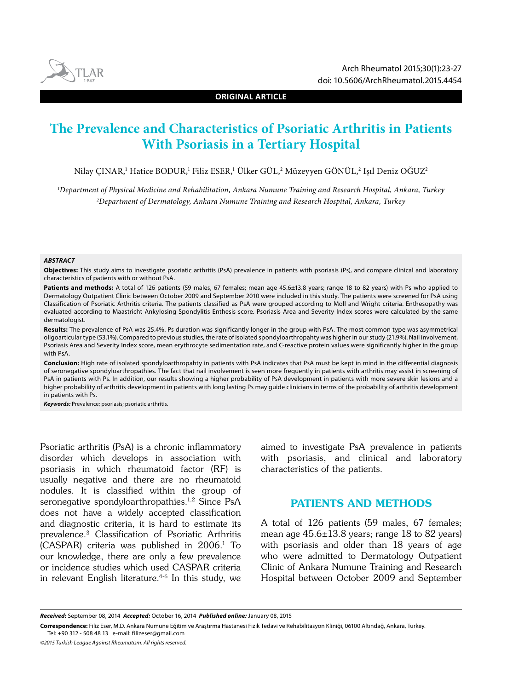

**ORIGINAL ARTICLE**

# **The Prevalence and Characteristics of Psoriatic Arthritis in Patients With Psoriasis in a Tertiary Hospital**

Nilay ÇINAR,' Hatice BODUR,' Filiz ESER,' Ülker GÜL,<sup>2</sup> Müzeyyen GÖNÜL,<sup>2</sup> Işıl Deniz OGUZ<del>'</del>

*1 Department of Physical Medicine and Rehabilitation, Ankara Numune Training and Research Hospital, Ankara, Turkey 2 Department of Dermatology, Ankara Numune Training and Research Hospital, Ankara, Turkey*

#### *ABSTRACT*

**Objectives:** This study aims to investigate psoriatic arthritis (PsA) prevalence in patients with psoriasis (Ps), and compare clinical and laboratory characteristics of patients with or without PsA.

Patients and methods: A total of 126 patients (59 males, 67 females; mean age 45.6±13.8 years; range 18 to 82 years) with Ps who applied to Dermatology Outpatient Clinic between October 2009 and September 2010 were included in this study. The patients were screened for PsA using Classification of Psoriatic Arthritis criteria. The patients classified as PsA were grouped according to Moll and Wright criteria. Enthesopathy was evaluated according to Maastricht Ankylosing Spondylitis Enthesis score. Psoriasis Area and Severity Index scores were calculated by the same dermatologist.

**Results:** The prevalence of PsA was 25.4%. Ps duration was significantly longer in the group with PsA. The most common type was asymmetrical oligoarticular type (53.1%). Compared to previous studies, the rate of isolated spondyloarthropahty was higher in our study (21.9%). Nail involvement, Psoriasis Area and Severity Index score, mean erythrocyte sedimentation rate, and C-reactive protein values were significantly higher in the group with PsA.

**Conclusion:** High rate of isolated spondyloarthropahty in patients with PsA indicates that PsA must be kept in mind in the differential diagnosis of seronegative spondyloarthropathies. The fact that nail involvement is seen more frequently in patients with arthritis may assist in screening of PsA in patients with Ps. In addition, our results showing a higher probability of PsA development in patients with more severe skin lesions and a higher probability of arthritis development in patients with long lasting Ps may guide clinicians in terms of the probability of arthritis development in patients with Ps.

*Keywords:* Prevalence; psoriasis; psoriatic arthritis.

Psoriatic arthritis (PsA) is a chronic inflammatory disorder which develops in association with psoriasis in which rheumatoid factor (RF) is usually negative and there are no rheumatoid nodules. It is classified within the group of seronegative spondyloarthropathies.<sup>1,2</sup> Since PsA does not have a widely accepted classification and diagnostic criteria, it is hard to estimate its prevalence.3 Classification of Psoriatic Arthritis  $(CASPAR)$  criteria was published in 2006.<sup>1</sup> To our knowledge, there are only a few prevalence or incidence studies which used CASPAR criteria in relevant English literature.4-6 In this study, we aimed to investigate PsA prevalence in patients with psoriasis, and clinical and laboratory characteristics of the patients.

## PATIENTS AND METHODS

A total of 126 patients (59 males, 67 females; mean age  $45.6 \pm 13.8$  years; range 18 to 82 years) with psoriasis and older than 18 years of age who were admitted to Dermatology Outpatient Clinic of Ankara Numune Training and Research Hospital between October 2009 and September

*Received:* September 08, 2014 *Accepted:* October 16, 2014 *Published online:* January 08, 2015

**Correspondence:** Filiz Eser, M.D. Ankara Numune Eğitim ve Araştırma Hastanesi Fizik Tedavi ve Rehabilitasyon Kliniği, 06100 Altındağ, Ankara, Turkey. Tel: +90 312 - 508 48 13 e-mail: filizeser@gmail.com

*<sup>©2015</sup> Turkish League Against Rheumatism. All rights reserved.*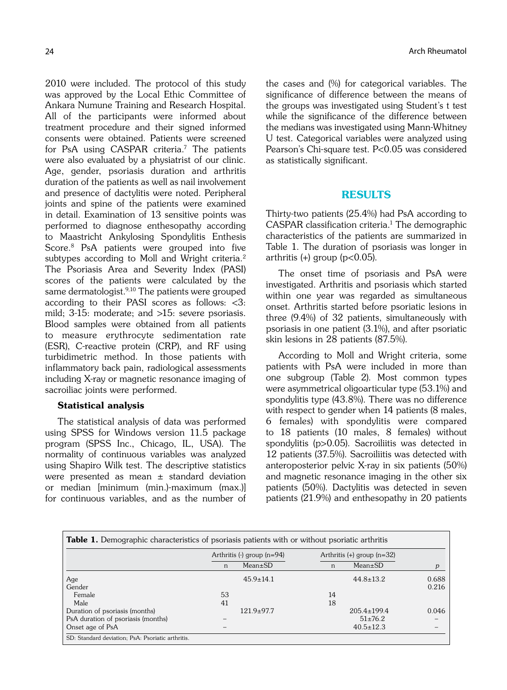2010 were included. The protocol of this study was approved by the Local Ethic Committee of Ankara Numune Training and Research Hospital. All of the participants were informed about treatment procedure and their signed informed consents were obtained. Patients were screened for PsA using CASPAR criteria.7 The patients were also evaluated by a physiatrist of our clinic. Age, gender, psoriasis duration and arthritis duration of the patients as well as nail involvement and presence of dactylitis were noted. Peripheral joints and spine of the patients were examined in detail. Examination of 13 sensitive points was performed to diagnose enthesopathy according to Maastricht Ankylosing Spondylitis Enthesis Score.8 PsA patients were grouped into five subtypes according to Moll and Wright criteria.<sup>2</sup> The Psoriasis Area and Severity Index (PASI) scores of the patients were calculated by the same dermatologist.<sup>9,10</sup> The patients were grouped according to their PASI scores as follows: <3: mild; 3-15: moderate; and >15: severe psoriasis. Blood samples were obtained from all patients to measure erythrocyte sedimentation rate (ESR), C-reactive protein (CRP), and RF using turbidimetric method. In those patients with inflammatory back pain, radiological assessments including X-ray or magnetic resonance imaging of sacroiliac joints were performed.

## Statistical analysis

The statistical analysis of data was performed using SPSS for Windows version 11.5 package program (SPSS Inc., Chicago, IL, USA). The normality of continuous variables was analyzed using Shapiro Wilk test. The descriptive statistics were presented as mean ± standard deviation or median [minimum (min.)-maximum (max.)] for continuous variables, and as the number of

the cases and (%) for categorical variables. The significance of difference between the means of the groups was investigated using Student's t test while the significance of the difference between the medians was investigated using Mann-Whitney U test. Categorical variables were analyzed using Pearson's Chi-square test. P<0.05 was considered as statistically significant.

## RESULTS

Thirty-two patients (25.4%) had PsA according to CASPAR classification criteria.<sup>1</sup> The demographic characteristics of the patients are summarized in Table 1. The duration of psoriasis was longer in arthritis  $(+)$  group (p<0.05).

The onset time of psoriasis and PsA were investigated. Arthritis and psoriasis which started within one year was regarded as simultaneous onset. Arthritis started before psoriatic lesions in three (9.4%) of 32 patients, simultaneously with psoriasis in one patient (3.1%), and after psoriatic skin lesions in 28 patients (87.5%).

According to Moll and Wright criteria, some patients with PsA were included in more than one subgroup (Table 2). Most common types were asymmetrical oligoarticular type (53.1%) and spondylitis type (43.8%). There was no difference with respect to gender when 14 patients (8 males, 6 females) with spondylitis were compared to 18 patients (10 males, 8 females) without spondylitis (p>0.05). Sacroiliitis was detected in 12 patients (37.5%). Sacroiliitis was detected with anteroposterior pelvic X-ray in six patients (50%) and magnetic resonance imaging in the other six patients (50%). Dactylitis was detected in seven patients (21.9%) and enthesopathy in 20 patients

|                                    | Arthritis $(-)$ group $(n=94)$ |                 | Arthritis $(+)$ group $(n=32)$ |                   |                  |
|------------------------------------|--------------------------------|-----------------|--------------------------------|-------------------|------------------|
|                                    | n                              | $Mean \pm SD$   | n                              | $Mean \pm SD$     | $\boldsymbol{p}$ |
| Age                                |                                | $45.9 \pm 14.1$ |                                | $44.8 \pm 13.2$   | 0.688            |
| Gender                             |                                |                 |                                |                   | 0.216            |
| Female                             | 53                             |                 | 14                             |                   |                  |
| Male                               | 41                             |                 | 18                             |                   |                  |
| Duration of psoriasis (months)     |                                | $121.9+97.7$    |                                | $205.4 \pm 199.4$ | 0.046            |
| PsA duration of psoriasis (months) |                                |                 |                                | $51\pm76.2$       |                  |
| Onset age of PsA                   |                                |                 |                                | $40.5 \pm 12.3$   |                  |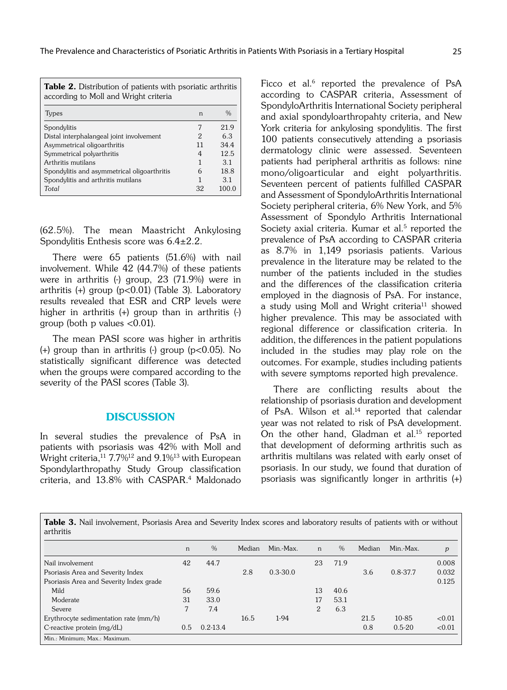| <b>Table 2.</b> Distribution of patients with psoriatic arthritis<br>according to Moll and Wright criteria |    |               |  |  |  |  |  |
|------------------------------------------------------------------------------------------------------------|----|---------------|--|--|--|--|--|
| Types                                                                                                      | n  | $\frac{0}{0}$ |  |  |  |  |  |
| Spondylitis                                                                                                |    | 219           |  |  |  |  |  |
| Distal interphalangeal joint involvement                                                                   | 2  | 63            |  |  |  |  |  |
| Asymmetrical oligoarthritis                                                                                | 11 | 34.4          |  |  |  |  |  |
| Symmetrical polyarthritis                                                                                  | 4  | 12.5          |  |  |  |  |  |
| Arthritis mutilans                                                                                         |    | 31            |  |  |  |  |  |
| Spondylitis and asymmetrical oligoarthritis                                                                | 6  | 18.8          |  |  |  |  |  |
| Spondylitis and arthritis mutilans                                                                         |    | 3.1           |  |  |  |  |  |
| Total                                                                                                      | 32 | 100.0         |  |  |  |  |  |

(62.5%). The mean Maastricht Ankylosing Spondylitis Enthesis score was 6.4±2.2.

There were 65 patients (51.6%) with nail involvement. While 42 (44.7%) of these patients were in arthritis (-) group, 23 (71.9%) were in arthritis  $(+)$  group ( $p<0.01$ ) (Table 3). Laboratory results revealed that ESR and CRP levels were higher in arthritis (+) group than in arthritis (-) group (both p values <0.01).

The mean PASI score was higher in arthritis (+) group than in arthritis (-) group ( $p<0.05$ ). No statistically significant difference was detected when the groups were compared according to the severity of the PASI scores (Table 3).

### **DISCUSSION**

In several studies the prevalence of PsA in patients with psoriasis was 42% with Moll and Wright criteria,<sup>11</sup> 7.7%<sup>12</sup> and 9.1%<sup>13</sup> with European Spondylarthropathy Study Group classification criteria, and 13.8% with CASPAR.4 Maldonado

Ficco et al.<sup>6</sup> reported the prevalence of PsA according to CASPAR criteria, Assessment of SpondyloArthritis International Society peripheral and axial spondyloarthropahty criteria, and New York criteria for ankylosing spondylitis. The first 100 patients consecutively attending a psoriasis dermatology clinic were assessed. Seventeen patients had peripheral arthritis as follows: nine mono/oligoarticular and eight polyarthritis. Seventeen percent of patients fulfilled CASPAR and Assessment of SpondyloArthritis International Society peripheral criteria, 6% New York, and 5% Assessment of Spondylo Arthritis International Society axial criteria. Kumar et al.<sup>5</sup> reported the prevalence of PsA according to CASPAR criteria as 8.7% in 1,149 psoriasis patients. Various prevalence in the literature may be related to the number of the patients included in the studies and the differences of the classification criteria employed in the diagnosis of PsA. For instance, a study using Moll and Wright criteria<sup>11</sup> showed higher prevalence. This may be associated with regional difference or classification criteria. In addition, the differences in the patient populations included in the studies may play role on the outcomes. For example, studies including patients with severe symptoms reported high prevalence.

There are conflicting results about the relationship of psoriasis duration and development of PsA. Wilson et al.<sup>14</sup> reported that calendar year was not related to risk of PsA development. On the other hand, Gladman et al.<sup>15</sup> reported that development of deforming arthritis such as arthritis multilans was related with early onset of psoriasis. In our study, we found that duration of psoriasis was significantly longer in arthritis (+)

Table 3. Nail involvement, Psoriasis Area and Severity Index scores and laboratory results of patients with or without arthritis

|                                         | n   | $\%$         | Median | Min.-Max.    | n              | $\%$ | Median | Min.-Max.    | p      |
|-----------------------------------------|-----|--------------|--------|--------------|----------------|------|--------|--------------|--------|
| Nail involvement                        | 42  | 44.7         |        |              | 23             | 71.9 |        |              | 0.008  |
| Psoriasis Area and Severity Index       |     |              | 2.8    | $0.3 - 30.0$ |                |      | 3.6    | $0.8 - 37.7$ | 0.032  |
| Psoriasis Area and Severity Index grade |     |              |        |              |                |      |        |              | 0.125  |
| Mild                                    | 56  | 59.6         |        |              | 13             | 40.6 |        |              |        |
| Moderate                                | 31  | 33.0         |        |              | 17             | 53.1 |        |              |        |
| Severe                                  |     | 7.4          |        |              | $\overline{2}$ | 6.3  |        |              |        |
| Erythrocyte sedimentation rate (mm/h)   |     |              | 16.5   | $1-94$       |                |      | 21.5   | 10-85        | < 0.01 |
| C-reactive protein $(mg/dL)$            | 0.5 | $0.2 - 13.4$ |        |              |                |      | 0.8    | $0.5 - 20$   | < 0.01 |
| Min.: Minimum; Max.: Maximum.           |     |              |        |              |                |      |        |              |        |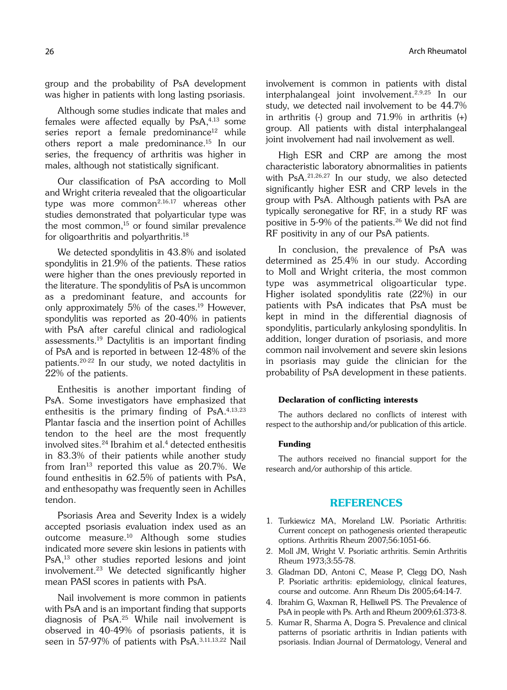group and the probability of PsA development was higher in patients with long lasting psoriasis.

Although some studies indicate that males and females were affected equally by PsA,4,13 some series report a female predominance<sup>12</sup> while others report a male predominance.15 In our series, the frequency of arthritis was higher in males, although not statistically significant.

Our classification of PsA according to Moll and Wright criteria revealed that the oligoarticular type was more common<sup>2,16,17</sup> whereas other studies demonstrated that polyarticular type was the most common, $15$  or found similar prevalence for oligoarthritis and polyarthritis.18

We detected spondylitis in 43.8% and isolated spondylitis in 21.9% of the patients. These ratios were higher than the ones previously reported in the literature. The spondylitis of PsA is uncommon as a predominant feature, and accounts for only approximately 5% of the cases.<sup>19</sup> However, spondylitis was reported as 20-40% in patients with PsA after careful clinical and radiological assessments.19 Dactylitis is an important finding of PsA and is reported in between 12-48% of the patients.20-22 In our study, we noted dactylitis in 22% of the patients.

Enthesitis is another important finding of PsA. Some investigators have emphasized that enthesitis is the primary finding of  $PSA^{4,13,23}$ Plantar fascia and the insertion point of Achilles tendon to the heel are the most frequently involved sites.<sup>24</sup> Ibrahim et al.<sup>4</sup> detected enthesitis in 83.3% of their patients while another study from Iran<sup>13</sup> reported this value as 20.7%. We found enthesitis in 62.5% of patients with PsA, and enthesopathy was frequently seen in Achilles tendon.

Psoriasis Area and Severity Index is a widely accepted psoriasis evaluation index used as an outcome measure.10 Although some studies indicated more severe skin lesions in patients with PsA,13 other studies reported lesions and joint involvement.23 We detected significantly higher mean PASI scores in patients with PsA.

Nail involvement is more common in patients with PsA and is an important finding that supports diagnosis of PsA.25 While nail involvement is observed in 40-49% of psoriasis patients, it is seen in 57-97% of patients with PsA.3,11,13,22 Nail involvement is common in patients with distal interphalangeal joint involvement.2,9,25 In our study, we detected nail involvement to be 44.7% in arthritis  $\left(\frac{1}{2}\right)$  group and 71.9% in arthritis  $\left(\frac{1}{2}\right)$ group. All patients with distal interphalangeal joint involvement had nail involvement as well.

High ESR and CRP are among the most characteristic laboratory abnormalities in patients with PsA.21,26,27 In our study, we also detected significantly higher ESR and CRP levels in the group with PsA. Although patients with PsA are typically seronegative for RF, in a study RF was positive in 5-9% of the patients.<sup>26</sup> We did not find RF positivity in any of our PsA patients.

In conclusion, the prevalence of PsA was determined as 25.4% in our study. According to Moll and Wright criteria, the most common type was asymmetrical oligoarticular type. Higher isolated spondylitis rate (22%) in our patients with PsA indicates that PsA must be kept in mind in the differential diagnosis of spondylitis, particularly ankylosing spondylitis. In addition, longer duration of psoriasis, and more common nail involvement and severe skin lesions in psoriasis may guide the clinician for the probability of PsA development in these patients.

#### Declaration of conflicting interests

The authors declared no conflicts of interest with respect to the authorship and/or publication of this article.

#### Funding

The authors received no financial support for the research and/or authorship of this article.

## REFERENCES

- 1. Turkiewicz MA, Moreland LW. Psoriatic Arthritis: Current concept on pathogenesis oriented therapeutic options. Arthritis Rheum 2007;56:1051-66.
- 2. Moll JM, Wright V. Psoriatic arthritis. Semin Arthritis Rheum 1973;3:55-78.
- 3. Gladman DD, Antoni C, Mease P, Clegg DO, Nash P. Psoriatic arthritis: epidemiology, clinical features, course and outcome. Ann Rheum Dis 2005;64:14-7.
- 4. Ibrahim G, Waxman R, Helliwell PS. The Prevalence of PsA in people with Ps. Arth and Rheum 2009;61:373-8.
- 5. Kumar R, Sharma A, Dogra S. Prevalence and clinical patterns of psoriatic arthritis in Indian patients with psoriasis. Indian Journal of Dermatology, Veneral and